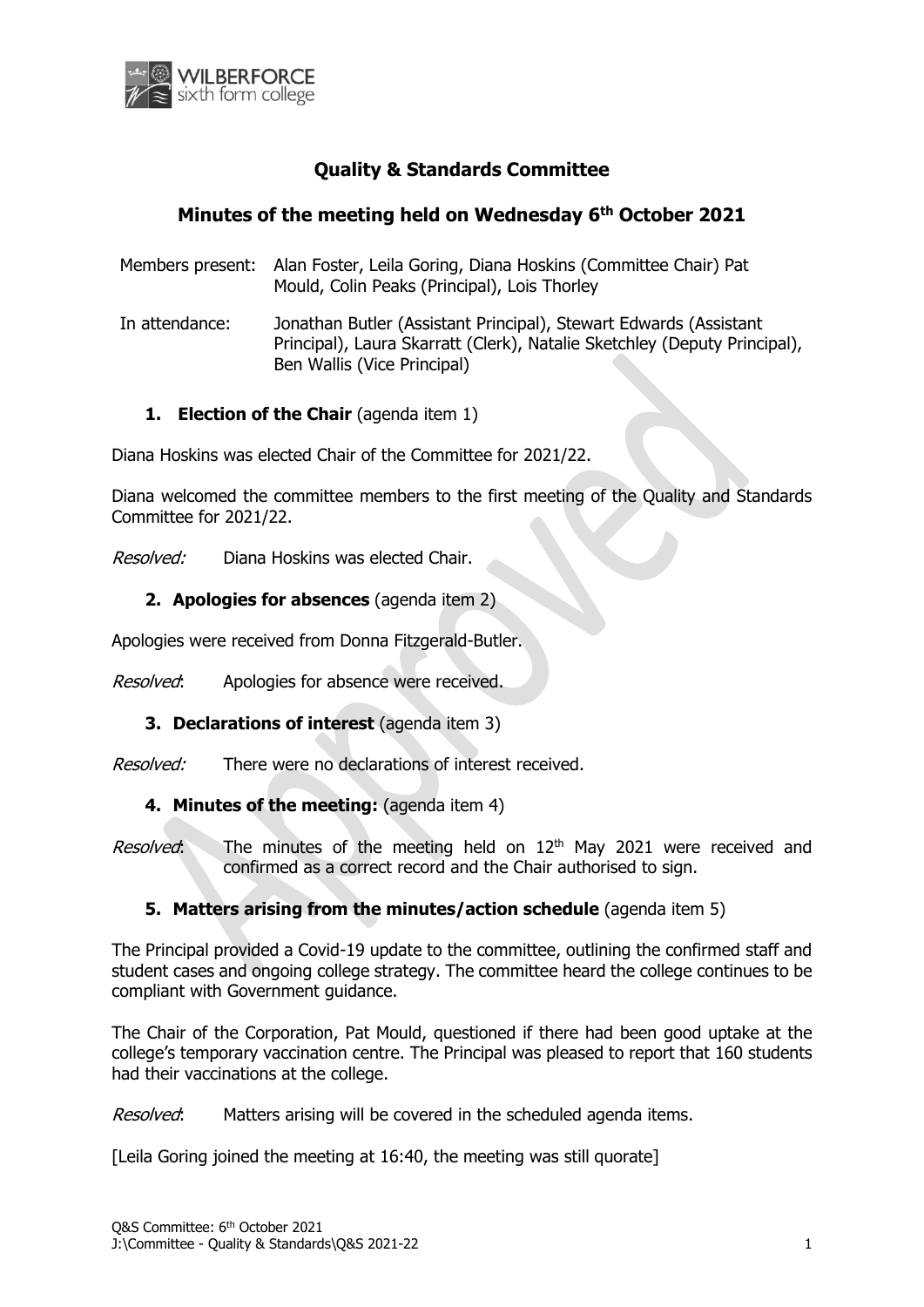

# **Quality & Standards Committee**

# **Minutes of the meeting held on Wednesday 6 th October 2021**

- Members present: Alan Foster, Leila Goring, Diana Hoskins (Committee Chair) Pat Mould, Colin Peaks (Principal), Lois Thorley
- In attendance: Jonathan Butler (Assistant Principal), Stewart Edwards (Assistant Principal), Laura Skarratt (Clerk), Natalie Sketchley (Deputy Principal), Ben Wallis (Vice Principal)

## **1. Election of the Chair** (agenda item 1)

Diana Hoskins was elected Chair of the Committee for 2021/22.

Diana welcomed the committee members to the first meeting of the Quality and Standards Committee for 2021/22.

Resolved: Diana Hoskins was elected Chair.

### **2. Apologies for absences** (agenda item 2)

Apologies were received from Donna Fitzgerald-Butler.

Resolved: Apologies for absence were received.

### **3. Declarations of interest** (agenda item 3)

Resolved: There were no declarations of interest received.

#### **4. Minutes of the meeting:** (agenda item 4)

Resolved: The minutes of the meeting held on  $12<sup>th</sup>$  May 2021 were received and confirmed as a correct record and the Chair authorised to sign.

### **5. Matters arising from the minutes/action schedule** (agenda item 5)

The Principal provided a Covid-19 update to the committee, outlining the confirmed staff and student cases and ongoing college strategy. The committee heard the college continues to be compliant with Government guidance.

The Chair of the Corporation, Pat Mould, questioned if there had been good uptake at the college's temporary vaccination centre. The Principal was pleased to report that 160 students had their vaccinations at the college.

Resolved: Matters arising will be covered in the scheduled agenda items.

[Leila Goring joined the meeting at 16:40, the meeting was still quorate]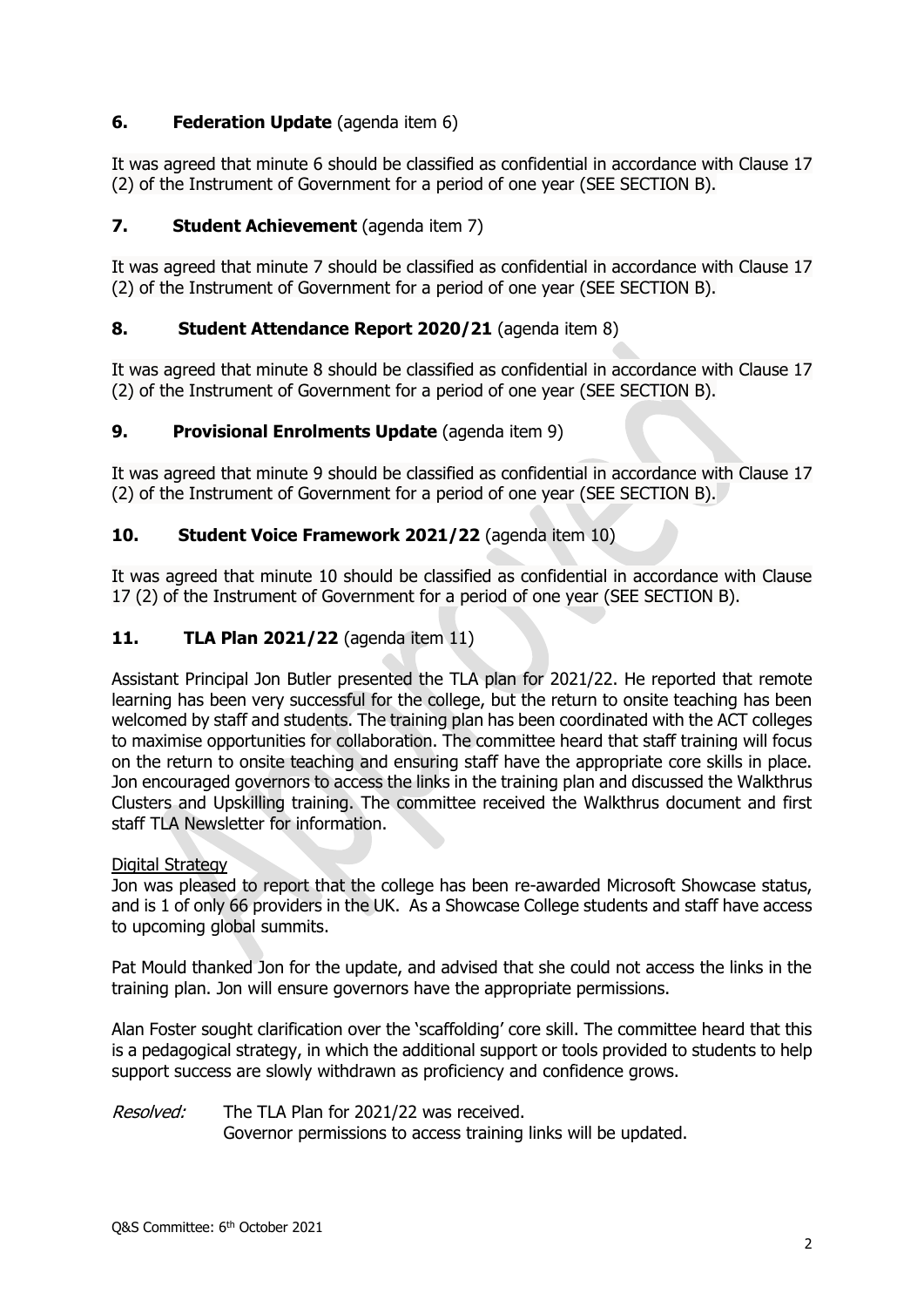## **6. Federation Update** (agenda item 6)

It was agreed that minute 6 should be classified as confidential in accordance with Clause 17 (2) of the Instrument of Government for a period of one year (SEE SECTION B).

### **7. Student Achievement** (agenda item 7)

It was agreed that minute 7 should be classified as confidential in accordance with Clause 17 (2) of the Instrument of Government for a period of one year (SEE SECTION B).

### **8. Student Attendance Report 2020/21** (agenda item 8)

It was agreed that minute 8 should be classified as confidential in accordance with Clause 17 (2) of the Instrument of Government for a period of one year (SEE SECTION B).

### **9. Provisional Enrolments Update** (agenda item 9)

It was agreed that minute 9 should be classified as confidential in accordance with Clause 17 (2) of the Instrument of Government for a period of one year (SEE SECTION B).

### **10. Student Voice Framework 2021/22** (agenda item 10)

It was agreed that minute 10 should be classified as confidential in accordance with Clause 17 (2) of the Instrument of Government for a period of one year (SEE SECTION B).

### **11. TLA Plan 2021/22** (agenda item 11)

Assistant Principal Jon Butler presented the TLA plan for 2021/22. He reported that remote learning has been very successful for the college, but the return to onsite teaching has been welcomed by staff and students. The training plan has been coordinated with the ACT colleges to maximise opportunities for collaboration. The committee heard that staff training will focus on the return to onsite teaching and ensuring staff have the appropriate core skills in place. Jon encouraged governors to access the links in the training plan and discussed the Walkthrus Clusters and Upskilling training. The committee received the Walkthrus document and first staff TLA Newsletter for information.

#### Digital Strategy

Jon was pleased to report that the college has been re-awarded Microsoft Showcase status, and is 1 of only 66 providers in the UK. As a Showcase College students and staff have access to upcoming global summits.

Pat Mould thanked Jon for the update, and advised that she could not access the links in the training plan. Jon will ensure governors have the appropriate permissions.

Alan Foster sought clarification over the 'scaffolding' core skill. The committee heard that this is a pedagogical strategy, in which the additional support or tools provided to students to help support success are slowly withdrawn as proficiency and confidence grows.

Resolved: The TLA Plan for 2021/22 was received. Governor permissions to access training links will be updated.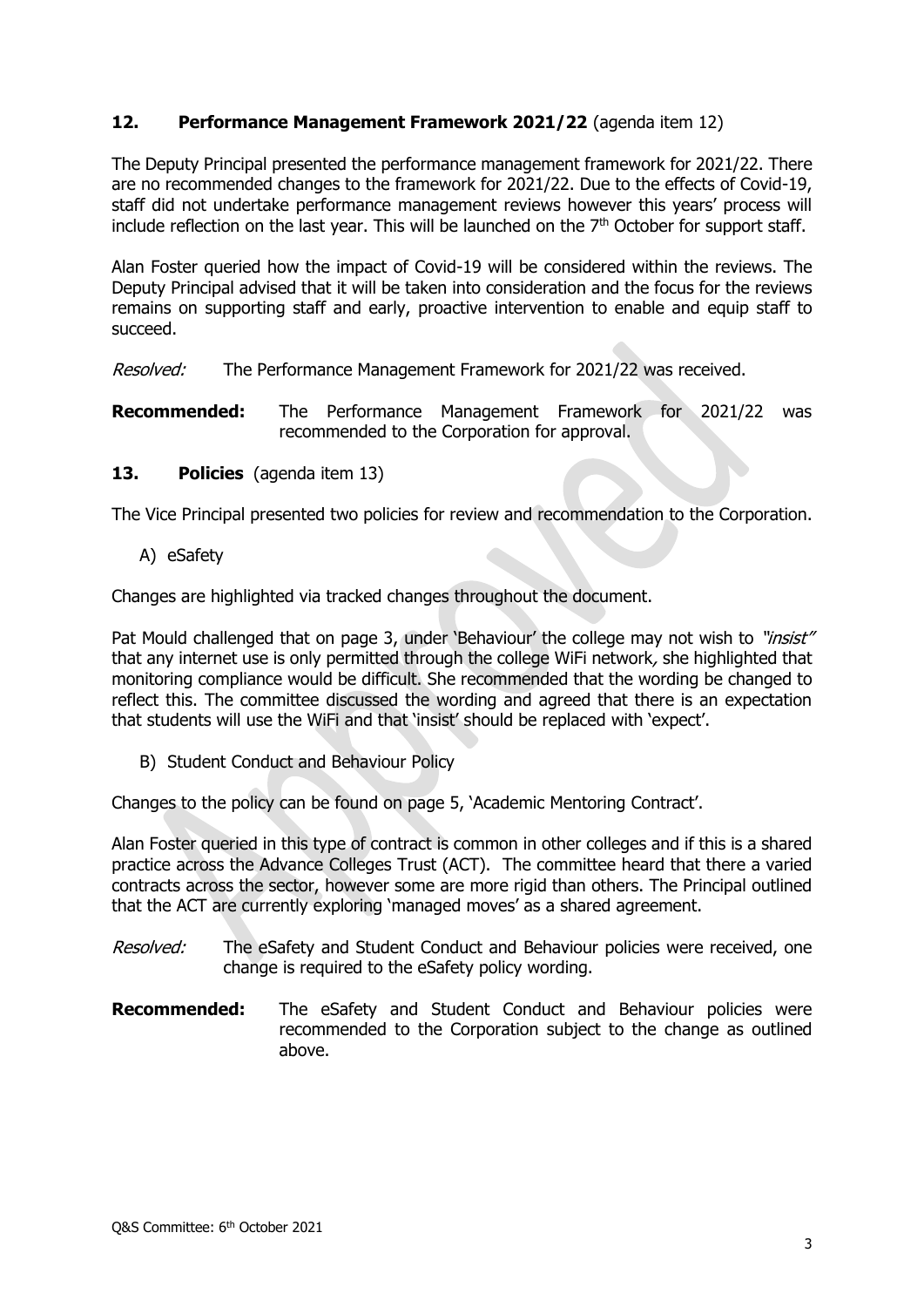### **12. Performance Management Framework 2021/22** (agenda item 12)

The Deputy Principal presented the performance management framework for 2021/22. There are no recommended changes to the framework for 2021/22. Due to the effects of Covid-19, staff did not undertake performance management reviews however this years' process will include reflection on the last year. This will be launched on the  $7<sup>th</sup>$  October for support staff.

Alan Foster queried how the impact of Covid-19 will be considered within the reviews. The Deputy Principal advised that it will be taken into consideration and the focus for the reviews remains on supporting staff and early, proactive intervention to enable and equip staff to succeed.

Resolved: The Performance Management Framework for 2021/22 was received.

**Recommended:** The Performance Management Framework for 2021/22 was recommended to the Corporation for approval.

#### **13. Policies** (agenda item 13)

The Vice Principal presented two policies for review and recommendation to the Corporation.

A) eSafety

Changes are highlighted via tracked changes throughout the document.

Pat Mould challenged that on page 3, under 'Behaviour' the college may not wish to "insist" that any internet use is only permitted through the college WiFi network, she highlighted that monitoring compliance would be difficult. She recommended that the wording be changed to reflect this. The committee discussed the wording and agreed that there is an expectation that students will use the WiFi and that 'insist' should be replaced with 'expect'.

B) Student Conduct and Behaviour Policy

Changes to the policy can be found on page 5, 'Academic Mentoring Contract'.

Alan Foster queried in this type of contract is common in other colleges and if this is a shared practice across the Advance Colleges Trust (ACT). The committee heard that there a varied contracts across the sector, however some are more rigid than others. The Principal outlined that the ACT are currently exploring 'managed moves' as a shared agreement.

- Resolved: The eSafety and Student Conduct and Behaviour policies were received, one change is required to the eSafety policy wording.
- **Recommended:** The eSafety and Student Conduct and Behaviour policies were recommended to the Corporation subject to the change as outlined above.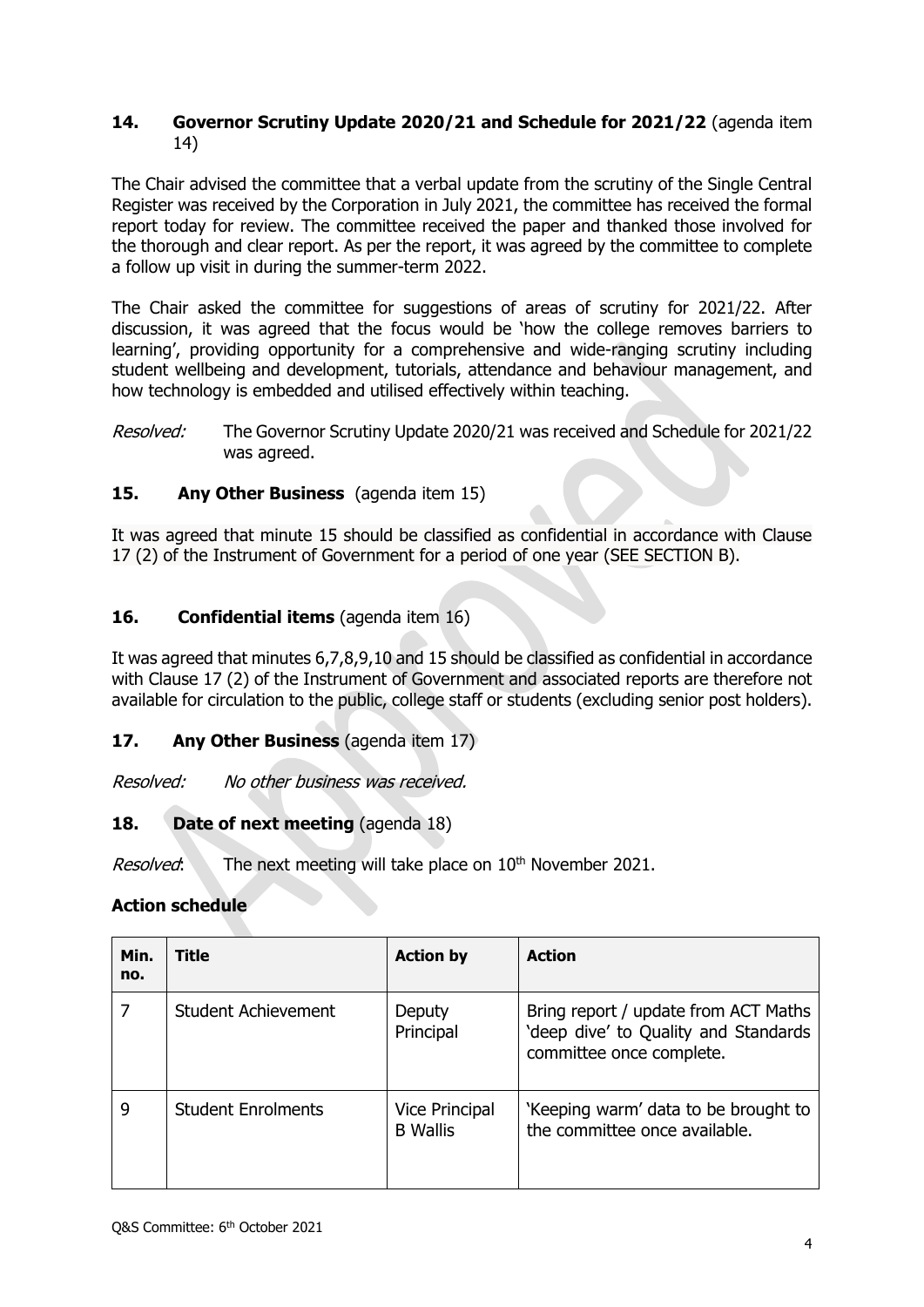### **14. Governor Scrutiny Update 2020/21 and Schedule for 2021/22** (agenda item 14)

The Chair advised the committee that a verbal update from the scrutiny of the Single Central Register was received by the Corporation in July 2021, the committee has received the formal report today for review. The committee received the paper and thanked those involved for the thorough and clear report. As per the report, it was agreed by the committee to complete a follow up visit in during the summer-term 2022.

The Chair asked the committee for suggestions of areas of scrutiny for 2021/22. After discussion, it was agreed that the focus would be 'how the college removes barriers to learning', providing opportunity for a comprehensive and wide-ranging scrutiny including student wellbeing and development, tutorials, attendance and behaviour management, and how technology is embedded and utilised effectively within teaching.

Resolved: The Governor Scrutiny Update 2020/21 was received and Schedule for 2021/22 was agreed.

### **15. Any Other Business** (agenda item 15)

It was agreed that minute 15 should be classified as confidential in accordance with Clause 17 (2) of the Instrument of Government for a period of one year (SEE SECTION B).

### **16. Confidential items** (agenda item 16)

It was agreed that minutes 6,7,8,9,10 and 15 should be classified as confidential in accordance with Clause 17 (2) of the Instrument of Government and associated reports are therefore not available for circulation to the public, college staff or students (excluding senior post holders).

### **17. Any Other Business** (agenda item 17)

Resolved: No other business was received.

### **18. Date of next meeting** (agenda 18)

Resolved: The next meeting will take place on 10<sup>th</sup> November 2021.

#### **Action schedule**

| Min.<br>no. | Title                      | <b>Action by</b>                         | <b>Action</b>                                                                                            |
|-------------|----------------------------|------------------------------------------|----------------------------------------------------------------------------------------------------------|
|             | <b>Student Achievement</b> | Deputy<br>Principal                      | Bring report / update from ACT Maths<br>'deep dive' to Quality and Standards<br>committee once complete. |
| g           | <b>Student Enrolments</b>  | <b>Vice Principal</b><br><b>B</b> Wallis | 'Keeping warm' data to be brought to<br>the committee once available.                                    |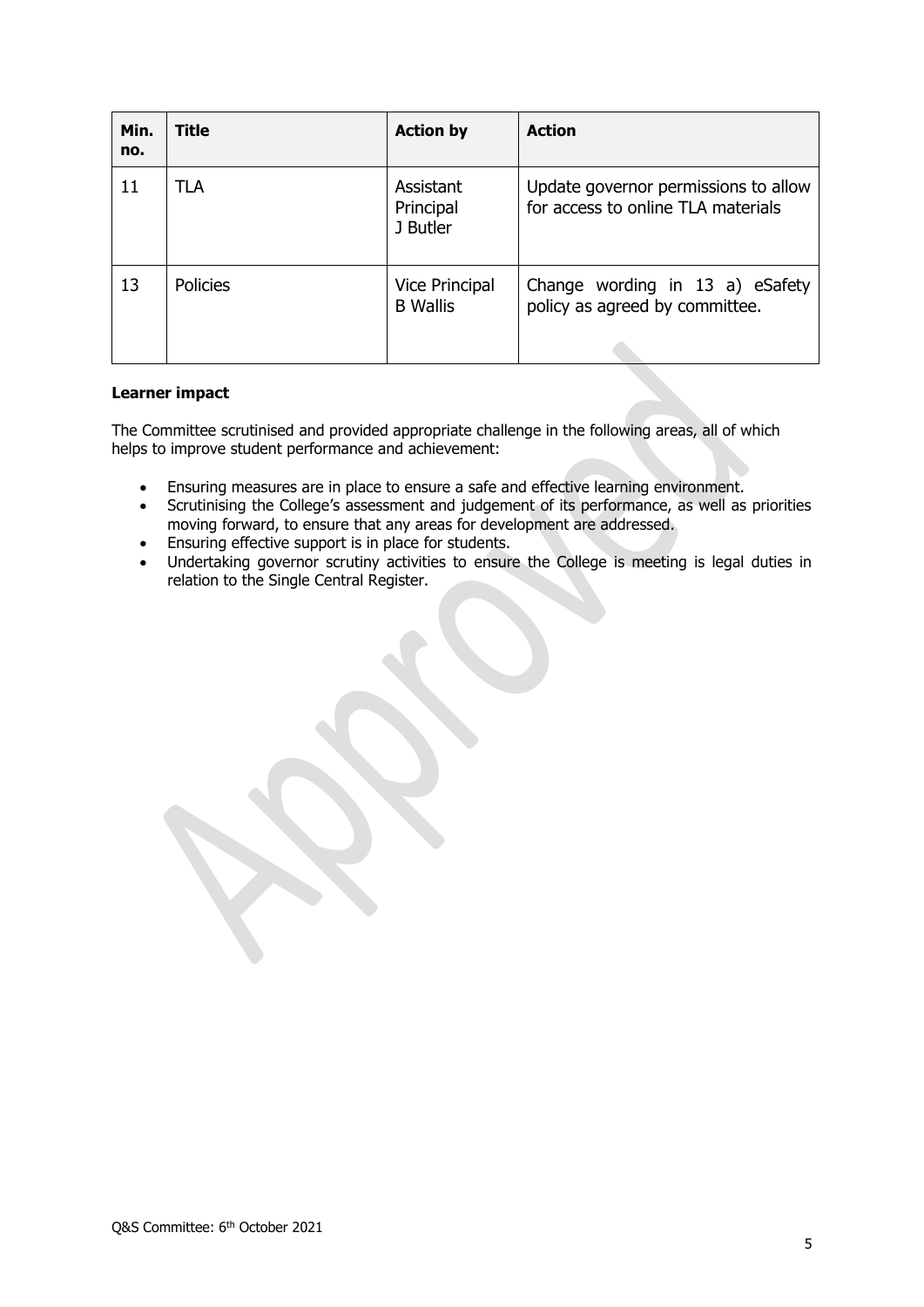| Min.<br>no. | Title           | <b>Action by</b>                         | <b>Action</b>                                                              |
|-------------|-----------------|------------------------------------------|----------------------------------------------------------------------------|
| 11          | <b>TLA</b>      | Assistant<br>Principal<br>J Butler       | Update governor permissions to allow<br>for access to online TLA materials |
| 13          | <b>Policies</b> | <b>Vice Principal</b><br><b>B</b> Wallis | Change wording in 13 a) eSafety<br>policy as agreed by committee.          |

#### **Learner impact**

The Committee scrutinised and provided appropriate challenge in the following areas, all of which helps to improve student performance and achievement:

- Ensuring measures are in place to ensure a safe and effective learning environment.
- Scrutinising the College's assessment and judgement of its performance, as well as priorities moving forward, to ensure that any areas for development are addressed.
- Ensuring effective support is in place for students.
- Undertaking governor scrutiny activities to ensure the College is meeting is legal duties in relation to the Single Central Register.